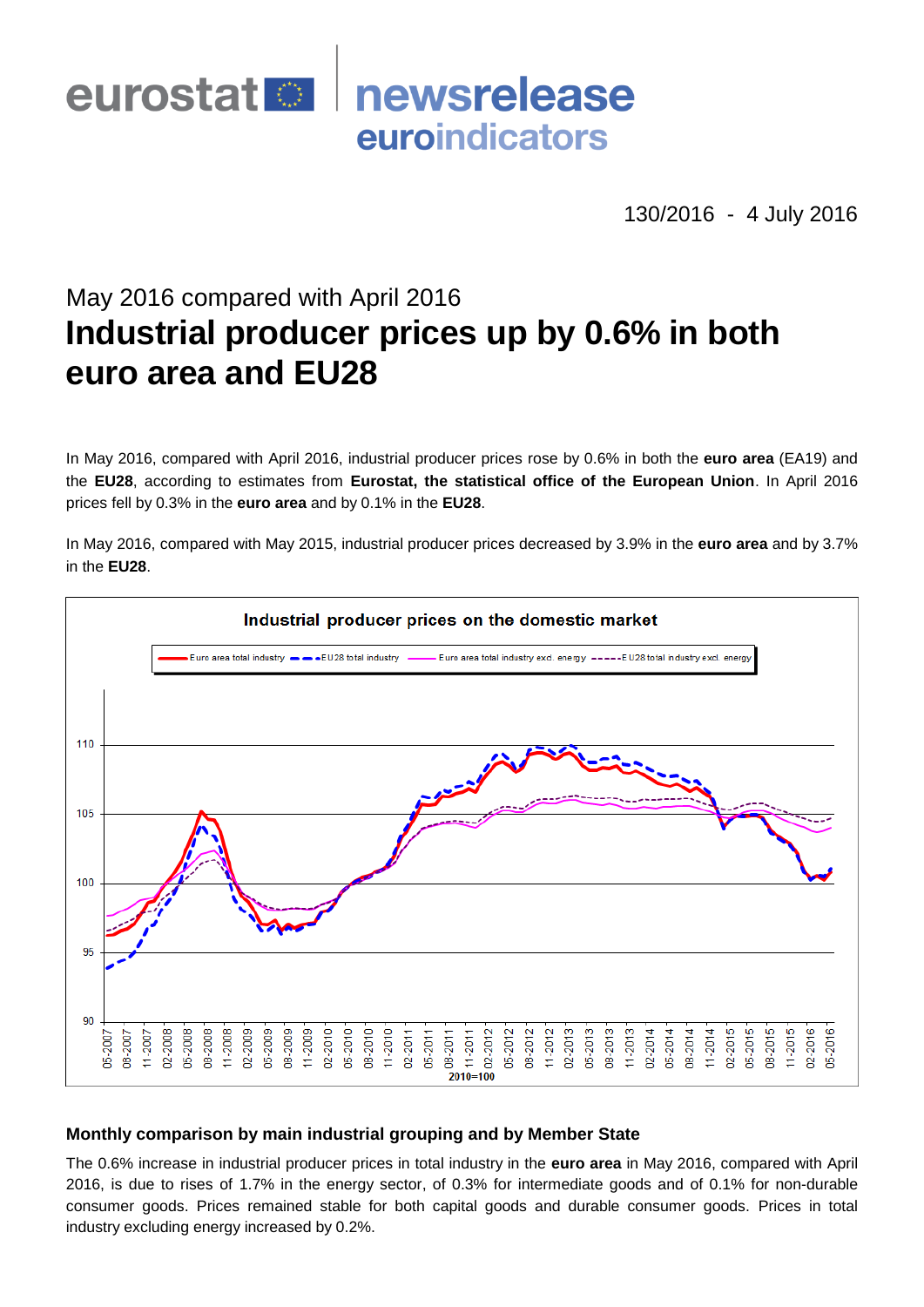

130/2016 - 4 July 2016

# May 2016 compared with April 2016 **Industrial producer prices up by 0.6% in both euro area and EU28**

In May 2016, compared with April 2016, industrial producer prices rose by 0.6% in both the **euro area** (EA19) and the **EU28**, according to estimates from **Eurostat, the statistical office of the European Union**. In April 2016 prices fell by 0.3% in the **euro area** and by 0.1% in the **EU28**.

In May 2016, compared with May 2015, industrial producer prices decreased by 3.9% in the **euro area** and by 3.7% in the **EU28**.



# **Monthly comparison by main industrial grouping and by Member State**

The 0.6% increase in industrial producer prices in total industry in the **euro area** in May 2016, compared with April 2016, is due to rises of 1.7% in the energy sector, of 0.3% for intermediate goods and of 0.1% for non-durable consumer goods. Prices remained stable for both capital goods and durable consumer goods. Prices in total industry excluding energy increased by 0.2%.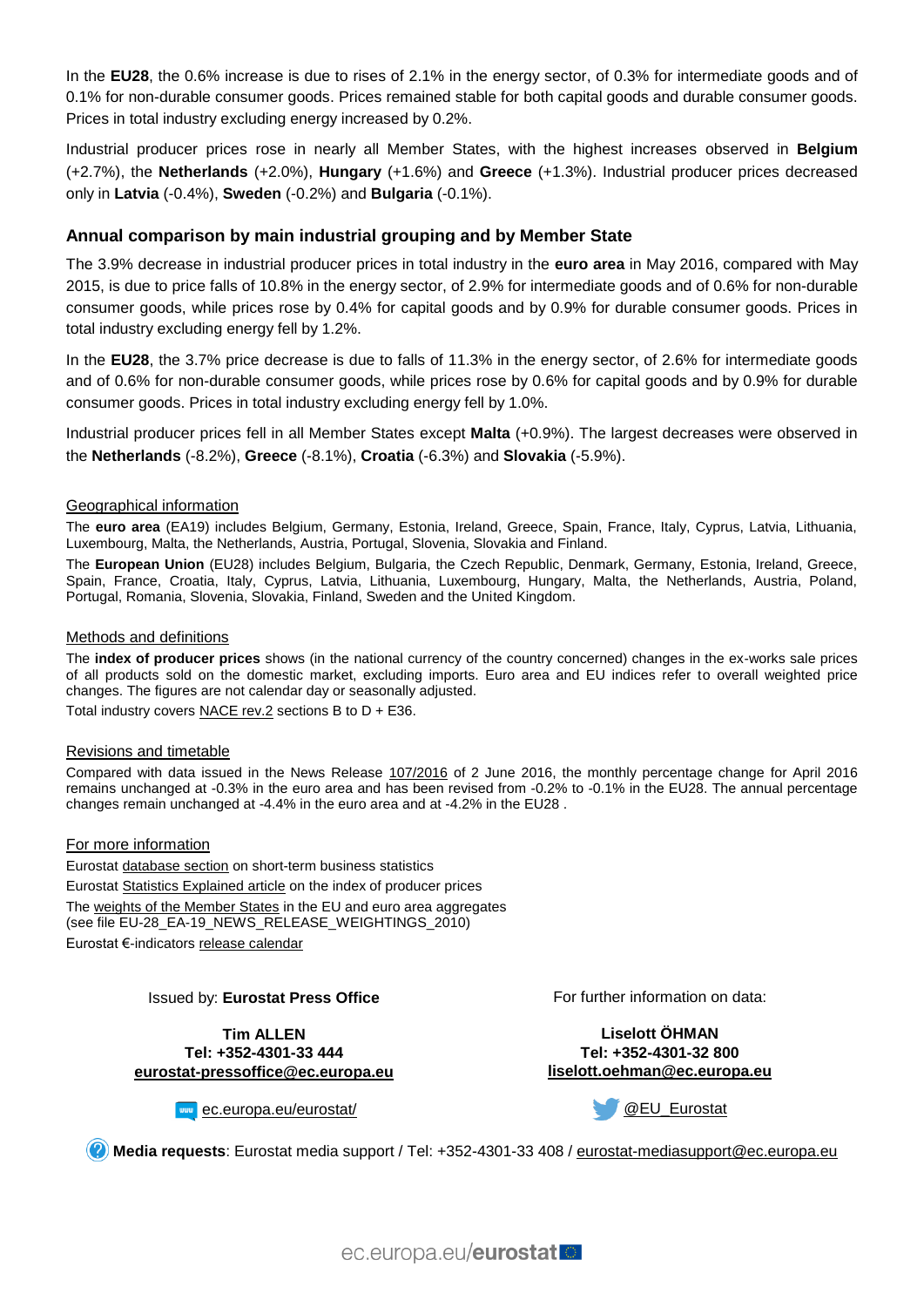In the **EU28**, the 0.6% increase is due to rises of 2.1% in the energy sector, of 0.3% for intermediate goods and of 0.1% for non-durable consumer goods. Prices remained stable for both capital goods and durable consumer goods. Prices in total industry excluding energy increased by 0.2%.

Industrial producer prices rose in nearly all Member States, with the highest increases observed in **Belgium** (+2.7%), the **Netherlands** (+2.0%), **Hungary** (+1.6%) and **Greece** (+1.3%). Industrial producer prices decreased only in **Latvia** (-0.4%), **Sweden** (-0.2%) and **Bulgaria** (-0.1%).

# **Annual comparison by main industrial grouping and by Member State**

The 3.9% decrease in industrial producer prices in total industry in the **euro area** in May 2016, compared with May 2015, is due to price falls of 10.8% in the energy sector, of 2.9% for intermediate goods and of 0.6% for non-durable consumer goods, while prices rose by 0.4% for capital goods and by 0.9% for durable consumer goods. Prices in total industry excluding energy fell by 1.2%.

In the **EU28**, the 3.7% price decrease is due to falls of 11.3% in the energy sector, of 2.6% for intermediate goods and of 0.6% for non-durable consumer goods, while prices rose by 0.6% for capital goods and by 0.9% for durable consumer goods. Prices in total industry excluding energy fell by 1.0%.

Industrial producer prices fell in all Member States except **Malta** (+0.9%). The largest decreases were observed in the **Netherlands** (-8.2%), **Greece** (-8.1%), **Croatia** (-6.3%) and **Slovakia** (-5.9%).

#### Geographical information

The **euro area** (EA19) includes Belgium, Germany, Estonia, Ireland, Greece, Spain, France, Italy, Cyprus, Latvia, Lithuania, Luxembourg, Malta, the Netherlands, Austria, Portugal, Slovenia, Slovakia and Finland.

The **European Union** (EU28) includes Belgium, Bulgaria, the Czech Republic, Denmark, Germany, Estonia, Ireland, Greece, Spain, France, Croatia, Italy, Cyprus, Latvia, Lithuania, Luxembourg, Hungary, Malta, the Netherlands, Austria, Poland, Portugal, Romania, Slovenia, Slovakia, Finland, Sweden and the United Kingdom.

#### Methods and definitions

The **index of producer prices** shows (in the national currency of the country concerned) changes in the ex-works sale prices of all products sold on the domestic market, excluding imports. Euro area and EU indices refer to overall weighted price changes. The figures are not calendar day or seasonally adjusted. Total industry covers [NACE rev.2](http://ec.europa.eu/eurostat/ramon/nomenclatures/index.cfm?TargetUrl=LST_NOM_DTL&StrNom=NACE_REV2&StrLanguageCode=EN&IntPcKey=&StrLayoutCode=HIERARCHIC&IntCurrentPage=1) sections B to D + E36.

#### Revisions and timetable

Compared with data issued in the News Release [107/2016](http://ec.europa.eu/eurostat/documents/2995521/7427809/4-02062016-AP-EN.pdf/7f89f819-db08-41ec-bc2f-dbceabac2022) of 2 June 2016, the monthly percentage change for April 2016 remains unchanged at -0.3% in the euro area and has been revised from -0.2% to -0.1% in the EU28. The annual percentage changes remain unchanged at -4.4% in the euro area and at -4.2% in the EU28 .

#### For more information

Eurostat [database section](http://ec.europa.eu/eurostat/web/short-term-business-statistics/data/database) on short-term business statistics Eurostat [Statistics Explained article](http://ec.europa.eu/eurostat/statistics-explained/index.php/Industrial_producer_price_index_overview) on the index of producer prices Th[e weights of the Member States](https://circabc.europa.eu/w/browse/5e6d1e48-056c-4c6a-8278-3ab138bcf575) in the EU and euro area aggregates (see file EU-28\_EA-19\_NEWS\_RELEASE\_WEIGHTINGS\_2010) Eurostat €-indicators [release calendar](http://ec.europa.eu/eurostat/news/release-calendar)

#### Issued by: **Eurostat Press Office**

**Tim ALLEN Tel: +352-4301-33 444 [eurostat-pressoffice@ec.europa.eu](mailto:eurostat-pressoffice@ec.europa.eu)**



**www** [ec.europa.eu/eurostat/](http://ec.europa.eu/eurostat/)

For further information on data:

**Liselott ÖHMAN Tel: +352-4301-32 800 [liselott.oehman@ec.europa.eu](mailto:liselott.oehman@ec.europa.eu)**

[@EU\\_Eurostat](http://twitter.com/EU_Eurostat)

**Media requests**: Eurostat media support / Tel: +352-4301-33 408 / [eurostat-mediasupport@ec.europa.eu](mailto:eurostat-mediasupport@ec.europa.eu)

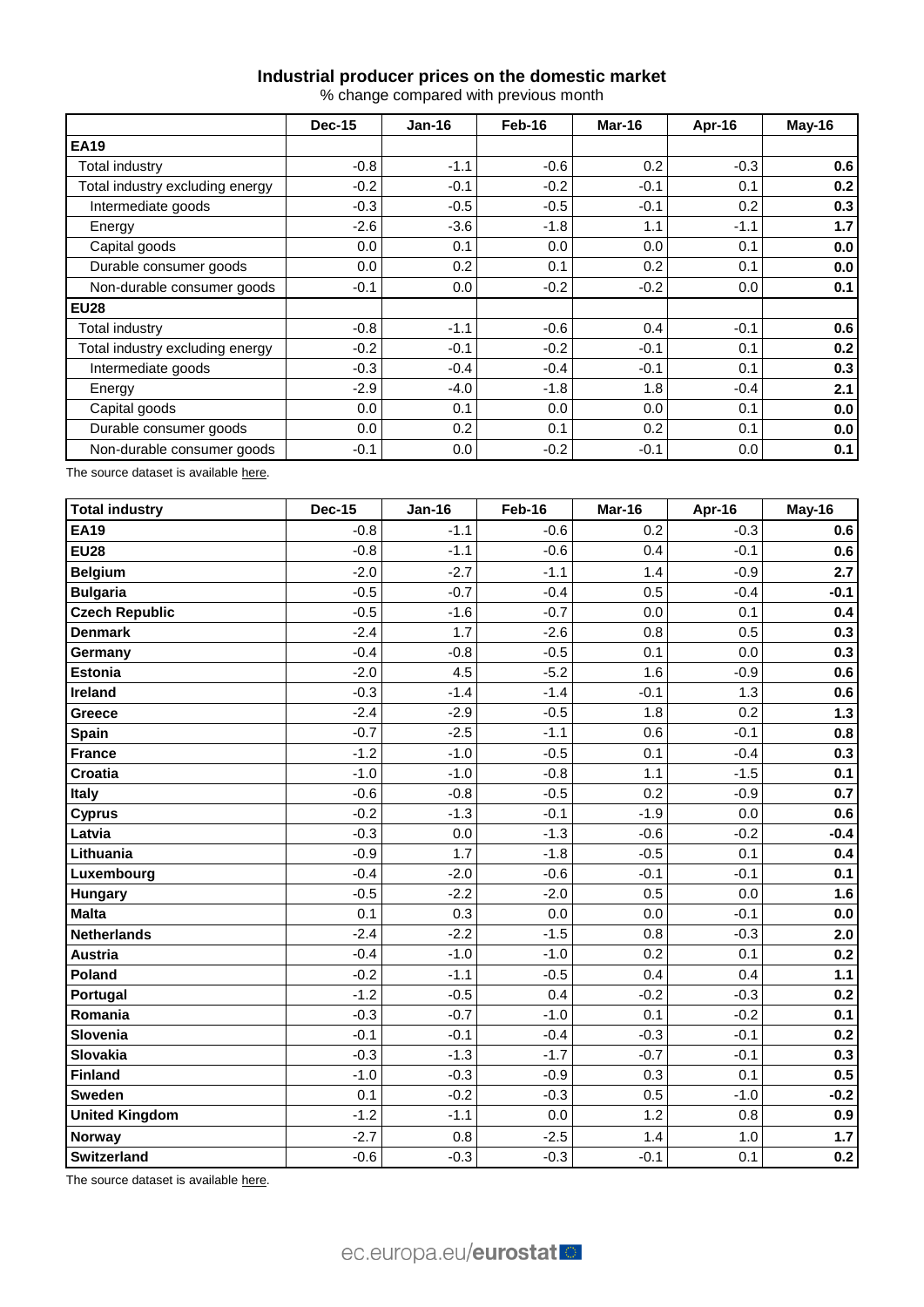## **Industrial producer prices on the domestic market**

% change compared with previous month

|                                 | <b>Dec-15</b> | $Jan-16$ | Feb-16 | Mar-16 | Apr-16 | May-16 |
|---------------------------------|---------------|----------|--------|--------|--------|--------|
| <b>EA19</b>                     |               |          |        |        |        |        |
| Total industry                  | $-0.8$        | $-1.1$   | $-0.6$ | 0.2    | $-0.3$ | 0.6    |
| Total industry excluding energy | $-0.2$        | $-0.1$   | $-0.2$ | $-0.1$ | 0.1    | 0.2    |
| Intermediate goods              | $-0.3$        | $-0.5$   | $-0.5$ | $-0.1$ | 0.2    | 0.3    |
| Energy                          | $-2.6$        | $-3.6$   | $-1.8$ | 1.1    | $-1.1$ | 1.7    |
| Capital goods                   | 0.0           | 0.1      | 0.0    | 0.0    | 0.1    | 0.0    |
| Durable consumer goods          | 0.0           | 0.2      | 0.1    | 0.2    | 0.1    | 0.0    |
| Non-durable consumer goods      | $-0.1$        | 0.0      | $-0.2$ | $-0.2$ | 0.0    | 0.1    |
| <b>EU28</b>                     |               |          |        |        |        |        |
| Total industry                  | $-0.8$        | $-1.1$   | $-0.6$ | 0.4    | $-0.1$ | 0.6    |
| Total industry excluding energy | $-0.2$        | $-0.1$   | $-0.2$ | $-0.1$ | 0.1    | 0.2    |
| Intermediate goods              | $-0.3$        | $-0.4$   | $-0.4$ | $-0.1$ | 0.1    | 0.3    |
| Energy                          | $-2.9$        | $-4.0$   | $-1.8$ | 1.8    | $-0.4$ | 2.1    |
| Capital goods                   | 0.0           | 0.1      | 0.0    | 0.0    | 0.1    | 0.0    |
| Durable consumer goods          | 0.0           | 0.2      | 0.1    | 0.2    | 0.1    | 0.0    |
| Non-durable consumer goods      | $-0.1$        | 0.0      | $-0.2$ | $-0.1$ | 0.0    | 0.1    |

The source dataset is availabl[e here.](http://appsso.eurostat.ec.europa.eu/nui/show.do?query=BOOKMARK_DS-069537_QID_-67EF4487_UID_-3F171EB0&layout=TIME,C,X,0;GEO,L,Y,0;NACE_R2,L,Y,1;INDIC_BT,L,Z,0;S_ADJ,L,Z,1;UNIT,L,Z,2;INDICATORS,C,Z,3;&zSelection=DS-069537INDICATORS,OBS_FLAG;DS-069537INDIC_BT,PRIN;DS-069537S_ADJ,NSA;DS-069537UNIT,PCH_PRE;&rankName1=UNIT_1_2_-1_2&rankName2=INDIC-BT_1_2_-1_2&rankName3=INDICATORS_1_2_-1_2&rankName4=S-ADJ_1_2_-1_2&rankName5=TIME_1_0_0_0&rankName6=GEO_1_0_0_1&rankName7=NACE-R2_1_2_1_1&sortR=ASC_-1_FIRST&sortC=ASC_-1_FIRST&rStp=&cStp=&rDCh=&cDCh=&rDM=true&cDM=true&footnes=false&empty=false&wai=false&time_mode=ROLLING&time_most_recent=true&lang=EN&cfo=%23%23%23%2C%23%23%23.%23%23%23)

| Total industry        | <b>Dec-15</b> | <b>Jan-16</b> | Feb-16 | Mar-16 | Apr-16 | May-16  |
|-----------------------|---------------|---------------|--------|--------|--------|---------|
| <b>EA19</b>           | $-0.8$        | $-1.1$        | $-0.6$ | 0.2    | $-0.3$ | 0.6     |
| <b>EU28</b>           | $-0.8$        | $-1.1$        | $-0.6$ | 0.4    | $-0.1$ | 0.6     |
| <b>Belgium</b>        | $-2.0$        | $-2.7$        | $-1.1$ | 1.4    | $-0.9$ | 2.7     |
| <b>Bulgaria</b>       | $-0.5$        | $-0.7$        | $-0.4$ | 0.5    | $-0.4$ | $-0.1$  |
| <b>Czech Republic</b> | $-0.5$        | $-1.6$        | $-0.7$ | 0.0    | 0.1    | 0.4     |
| <b>Denmark</b>        | $-2.4$        | 1.7           | $-2.6$ | 0.8    | 0.5    | 0.3     |
| Germany               | $-0.4$        | $-0.8$        | $-0.5$ | 0.1    | 0.0    | 0.3     |
| <b>Estonia</b>        | $-2.0$        | 4.5           | $-5.2$ | 1.6    | $-0.9$ | 0.6     |
| Ireland               | $-0.3$        | $-1.4$        | $-1.4$ | $-0.1$ | 1.3    | 0.6     |
| Greece                | $-2.4$        | $-2.9$        | $-0.5$ | 1.8    | 0.2    | $1.3$   |
| <b>Spain</b>          | $-0.7$        | $-2.5$        | $-1.1$ | 0.6    | $-0.1$ | 0.8     |
| <b>France</b>         | $-1.2$        | $-1.0$        | $-0.5$ | 0.1    | $-0.4$ | 0.3     |
| Croatia               | $-1.0$        | $-1.0$        | $-0.8$ | 1.1    | $-1.5$ | 0.1     |
| <b>Italy</b>          | $-0.6$        | $-0.8$        | $-0.5$ | 0.2    | $-0.9$ | 0.7     |
| <b>Cyprus</b>         | $-0.2$        | $-1.3$        | $-0.1$ | $-1.9$ | 0.0    | 0.6     |
| Latvia                | $-0.3$        | 0.0           | $-1.3$ | $-0.6$ | $-0.2$ | $-0.4$  |
| Lithuania             | $-0.9$        | 1.7           | $-1.8$ | $-0.5$ | 0.1    | 0.4     |
| Luxembourg            | $-0.4$        | $-2.0$        | $-0.6$ | $-0.1$ | $-0.1$ | 0.1     |
| <b>Hungary</b>        | $-0.5$        | $-2.2$        | $-2.0$ | 0.5    | 0.0    | 1.6     |
| <b>Malta</b>          | 0.1           | 0.3           | 0.0    | 0.0    | $-0.1$ | $0.0\,$ |
| <b>Netherlands</b>    | $-2.4$        | $-2.2$        | $-1.5$ | 0.8    | $-0.3$ | 2.0     |
| Austria               | $-0.4$        | $-1.0$        | $-1.0$ | 0.2    | 0.1    | 0.2     |
| Poland                | $-0.2$        | $-1.1$        | $-0.5$ | 0.4    | 0.4    | 1.1     |
| Portugal              | $-1.2$        | $-0.5$        | 0.4    | $-0.2$ | $-0.3$ | 0.2     |
| Romania               | $-0.3$        | $-0.7$        | $-1.0$ | 0.1    | $-0.2$ | 0.1     |
| Slovenia              | $-0.1$        | $-0.1$        | $-0.4$ | $-0.3$ | $-0.1$ | 0.2     |
| Slovakia              | $-0.3$        | $-1.3$        | $-1.7$ | $-0.7$ | $-0.1$ | 0.3     |
| Finland               | $-1.0$        | $-0.3$        | $-0.9$ | 0.3    | 0.1    | 0.5     |
| <b>Sweden</b>         | 0.1           | $-0.2$        | $-0.3$ | 0.5    | $-1.0$ | $-0.2$  |
| <b>United Kingdom</b> | $-1.2$        | $-1.1$        | 0.0    | 1.2    | 0.8    | 0.9     |
| <b>Norway</b>         | $-2.7$        | 0.8           | $-2.5$ | 1.4    | 1.0    | 1.7     |
| <b>Switzerland</b>    | $-0.6$        | $-0.3$        | $-0.3$ | $-0.1$ | 0.1    | 0.2     |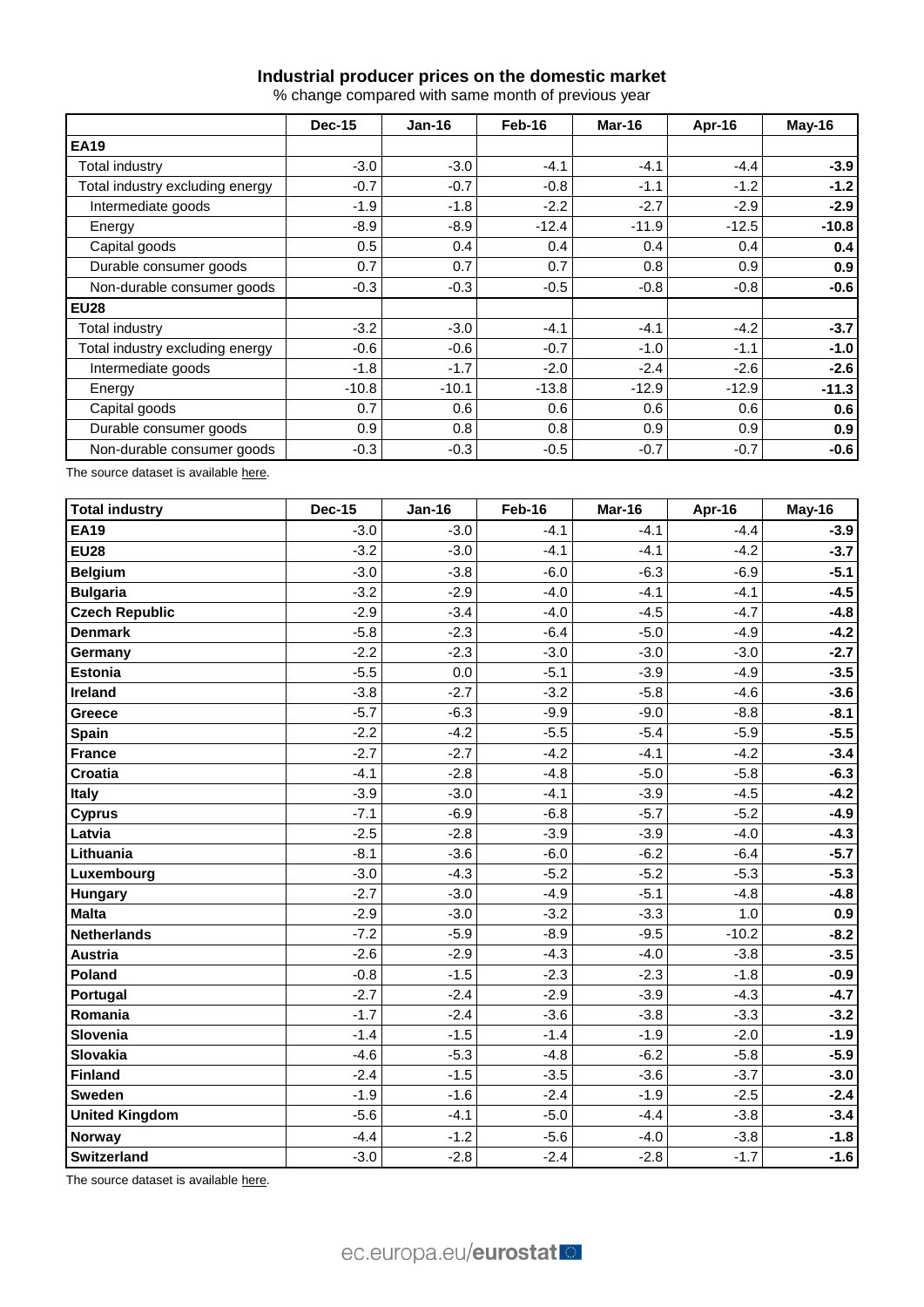# **Industrial producer prices on the domestic market**

% change compared with same month of previous year

|                                 | <b>Dec-15</b> | $Jan-16$ | Feb-16  | Mar-16  | Apr-16  | May-16  |
|---------------------------------|---------------|----------|---------|---------|---------|---------|
| <b>EA19</b>                     |               |          |         |         |         |         |
| Total industry                  | $-3.0$        | $-3.0$   | $-4.1$  | $-4.1$  | $-4.4$  | $-3.9$  |
| Total industry excluding energy | $-0.7$        | $-0.7$   | $-0.8$  | $-1.1$  | $-1.2$  | $-1.2$  |
| Intermediate goods              | $-1.9$        | $-1.8$   | $-2.2$  | $-2.7$  | $-2.9$  | $-2.9$  |
| Energy                          | $-8.9$        | $-8.9$   | $-12.4$ | $-11.9$ | $-12.5$ | $-10.8$ |
| Capital goods                   | 0.5           | 0.4      | 0.4     | 0.4     | 0.4     | 0.4     |
| Durable consumer goods          | 0.7           | 0.7      | 0.7     | 0.8     | 0.9     | 0.9     |
| Non-durable consumer goods      | $-0.3$        | $-0.3$   | $-0.5$  | $-0.8$  | $-0.8$  | $-0.6$  |
| <b>EU28</b>                     |               |          |         |         |         |         |
| Total industry                  | $-3.2$        | $-3.0$   | $-4.1$  | $-4.1$  | $-4.2$  | $-3.7$  |
| Total industry excluding energy | $-0.6$        | $-0.6$   | $-0.7$  | $-1.0$  | $-1.1$  | $-1.0$  |
| Intermediate goods              | $-1.8$        | $-1.7$   | $-2.0$  | $-2.4$  | $-2.6$  | $-2.6$  |
| Energy                          | $-10.8$       | $-10.1$  | $-13.8$ | $-12.9$ | $-12.9$ | $-11.3$ |
| Capital goods                   | 0.7           | 0.6      | 0.6     | 0.6     | 0.6     | 0.6     |
| Durable consumer goods          | 0.9           | 0.8      | 0.8     | 0.9     | 0.9     | 0.9     |
| Non-durable consumer goods      | $-0.3$        | $-0.3$   | $-0.5$  | $-0.7$  | $-0.7$  | $-0.6$  |

The source dataset is availabl[e here.](http://appsso.eurostat.ec.europa.eu/nui/show.do?query=BOOKMARK_DS-069537_QID_-6AB6E2D0_UID_-3F171EB0&layout=TIME,C,X,0;GEO,L,Y,0;NACE_R2,L,Y,1;INDIC_BT,L,Z,0;S_ADJ,L,Z,1;UNIT,L,Z,2;INDICATORS,C,Z,3;&zSelection=DS-069537INDICATORS,OBS_FLAG;DS-069537INDIC_BT,PRIN;DS-069537S_ADJ,NSA;DS-069537UNIT,PCH_PRE;&rankName1=UNIT_1_2_-1_2&rankName2=INDIC-BT_1_2_-1_2&rankName3=INDICATORS_1_2_-1_2&rankName4=S-ADJ_1_2_-1_2&rankName5=TIME_1_0_0_0&rankName6=GEO_1_0_0_1&rankName7=NACE-R2_1_2_1_1&sortR=ASC_-1_FIRST&sortC=ASC_-1_FIRST&rStp=&cStp=&rDCh=&cDCh=&rDM=true&cDM=true&footnes=false&empty=false&wai=false&time_mode=ROLLING&time_most_recent=true&lang=EN&cfo=%23%23%23%2C%23%23%23.%23%23%23)

| <b>Total industry</b> | <b>Dec-15</b> | <b>Jan-16</b> | Feb-16 | Mar-16 | Apr-16  | May-16 |  |
|-----------------------|---------------|---------------|--------|--------|---------|--------|--|
| <b>EA19</b>           | $-3.0$        | $-3.0$        | $-4.1$ | $-4.1$ | $-4.4$  | $-3.9$ |  |
| <b>EU28</b>           | $-3.2$        | $-3.0$        | $-4.1$ | $-4.1$ | $-4.2$  | $-3.7$ |  |
| <b>Belgium</b>        | $-3.0$        | $-3.8$        | $-6.0$ | $-6.3$ | $-6.9$  | $-5.1$ |  |
| <b>Bulgaria</b>       | $-3.2$        | $-2.9$        | $-4.0$ | $-4.1$ | $-4.1$  | $-4.5$ |  |
| <b>Czech Republic</b> | $-2.9$        | $-3.4$        | $-4.0$ | $-4.5$ | $-4.7$  | $-4.8$ |  |
| <b>Denmark</b>        | $-5.8$        | $-2.3$        | $-6.4$ | $-5.0$ | $-4.9$  | $-4.2$ |  |
| Germany               | $-2.2$        | $-2.3$        | $-3.0$ | $-3.0$ | $-3.0$  | $-2.7$ |  |
| <b>Estonia</b>        | $-5.5$        | 0.0           | $-5.1$ | $-3.9$ | $-4.9$  | $-3.5$ |  |
| Ireland               | $-3.8$        | $-2.7$        | $-3.2$ | $-5.8$ | $-4.6$  | $-3.6$ |  |
| Greece                | $-5.7$        | $-6.3$        | $-9.9$ | $-9.0$ | $-8.8$  | $-8.1$ |  |
| <b>Spain</b>          | $-2.2$        | $-4.2$        | $-5.5$ | $-5.4$ | $-5.9$  | $-5.5$ |  |
| France                | $-2.7$        | $-2.7$        | $-4.2$ | $-4.1$ | $-4.2$  | $-3.4$ |  |
| <b>Croatia</b>        | $-4.1$        | $-2.8$        | $-4.8$ | $-5.0$ | $-5.8$  | $-6.3$ |  |
| Italy                 | $-3.9$        | $-3.0$        | $-4.1$ | $-3.9$ | $-4.5$  | $-4.2$ |  |
| <b>Cyprus</b>         | $-7.1$        | $-6.9$        | $-6.8$ | $-5.7$ | $-5.2$  | $-4.9$ |  |
| Latvia                | $-2.5$        | $-2.8$        | $-3.9$ | $-3.9$ | $-4.0$  | $-4.3$ |  |
| Lithuania             | $-8.1$        | $-3.6$        | $-6.0$ | $-6.2$ | $-6.4$  | $-5.7$ |  |
| Luxembourg            | $-3.0$        | $-4.3$        | $-5.2$ | $-5.2$ | $-5.3$  | $-5.3$ |  |
| <b>Hungary</b>        | $-2.7$        | $-3.0$        | $-4.9$ | $-5.1$ | $-4.8$  | $-4.8$ |  |
| <b>Malta</b>          | $-2.9$        | $-3.0$        | $-3.2$ | $-3.3$ | 1.0     | 0.9    |  |
| <b>Netherlands</b>    | $-7.2$        | $-5.9$        | $-8.9$ | $-9.5$ | $-10.2$ | $-8.2$ |  |
| <b>Austria</b>        | $-2.6$        | $-2.9$        | $-4.3$ | $-4.0$ | $-3.8$  | $-3.5$ |  |
| Poland                | $-0.8$        | $-1.5$        | $-2.3$ | $-2.3$ | $-1.8$  | $-0.9$ |  |
| Portugal              | $-2.7$        | $-2.4$        | $-2.9$ | $-3.9$ | $-4.3$  | $-4.7$ |  |
| Romania               | $-1.7$        | $-2.4$        | $-3.6$ | $-3.8$ | $-3.3$  | $-3.2$ |  |
| Slovenia              | $-1.4$        | $-1.5$        | $-1.4$ | $-1.9$ | $-2.0$  | $-1.9$ |  |
| Slovakia              | $-4.6$        | $-5.3$        | $-4.8$ | $-6.2$ | $-5.8$  | $-5.9$ |  |
| Finland               | $-2.4$        | $-1.5$        | $-3.5$ | $-3.6$ | $-3.7$  | $-3.0$ |  |
| <b>Sweden</b>         | $-1.9$        | $-1.6$        | $-2.4$ | $-1.9$ | $-2.5$  | $-2.4$ |  |
| <b>United Kingdom</b> | $-5.6$        | $-4.1$        | $-5.0$ | $-4.4$ | $-3.8$  | $-3.4$ |  |
| <b>Norway</b>         | $-4.4$        | $-1.2$        | $-5.6$ | $-4.0$ | $-3.8$  | $-1.8$ |  |
| <b>Switzerland</b>    | $-3.0$        | $-2.8$        | $-2.4$ | $-2.8$ | $-1.7$  | $-1.6$ |  |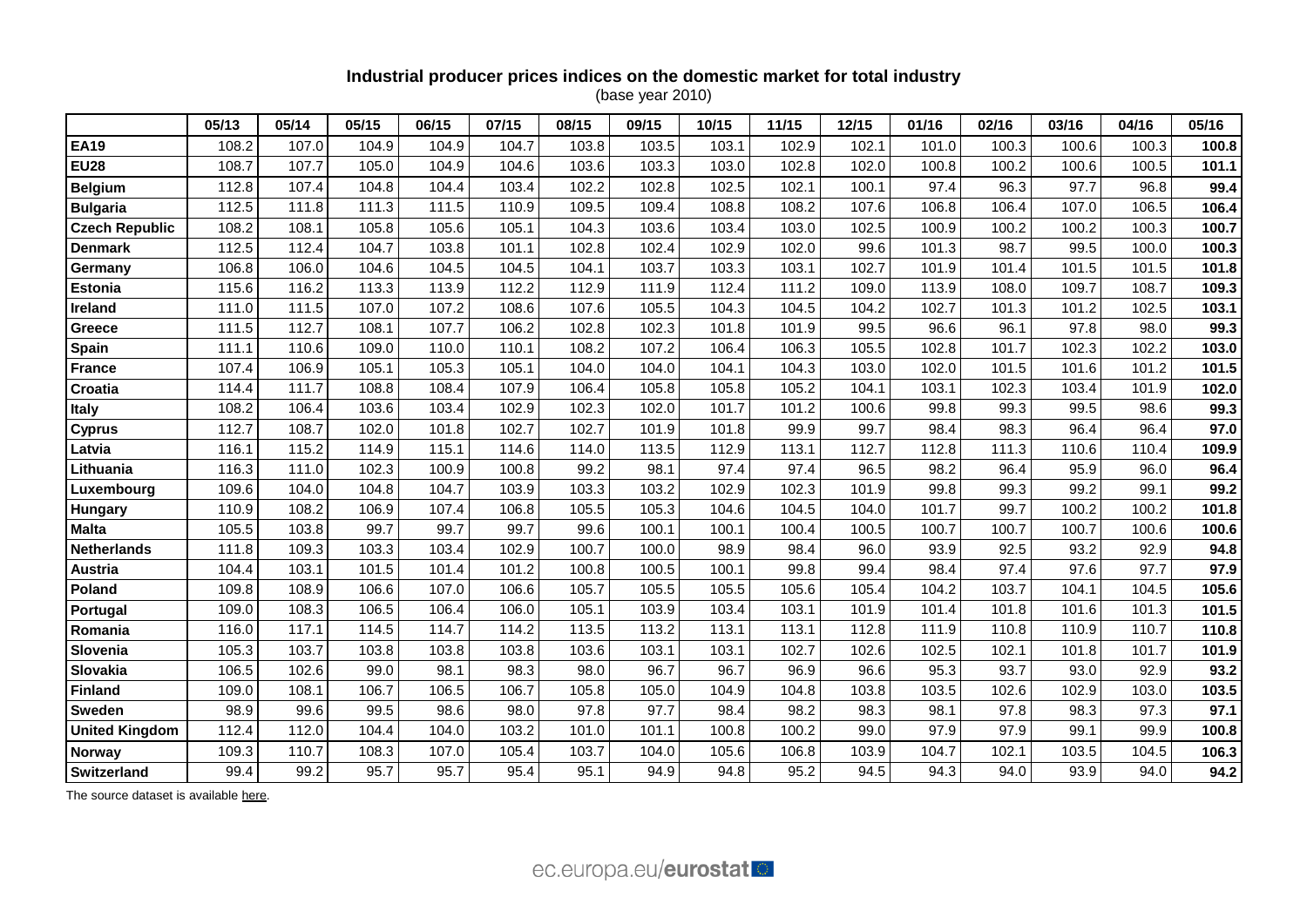# **Industrial producer prices indices on the domestic market for total industry**

(base year 2010)

|                       | 05/13 | 05/14 | 05/15 | 06/15 | 07/15 | 08/15 | 09/15 | 10/15 | 11/15 | 12/15 | 01/16 | 02/16 | 03/16 | 04/16 | 05/16 |
|-----------------------|-------|-------|-------|-------|-------|-------|-------|-------|-------|-------|-------|-------|-------|-------|-------|
| <b>EA19</b>           | 108.2 | 107.0 | 104.9 | 104.9 | 104.7 | 103.8 | 103.5 | 103.1 | 102.9 | 102.1 | 101.0 | 100.3 | 100.6 | 100.3 | 100.8 |
| <b>EU28</b>           | 108.7 | 107.7 | 105.0 | 104.9 | 104.6 | 103.6 | 103.3 | 103.0 | 102.8 | 102.0 | 100.8 | 100.2 | 100.6 | 100.5 | 101.1 |
| <b>Belgium</b>        | 112.8 | 107.4 | 104.8 | 104.4 | 103.4 | 102.2 | 102.8 | 102.5 | 102.1 | 100.1 | 97.4  | 96.3  | 97.7  | 96.8  | 99.4  |
| <b>Bulgaria</b>       | 112.5 | 111.8 | 111.3 | 111.5 | 110.9 | 109.5 | 109.4 | 108.8 | 108.2 | 107.6 | 106.8 | 106.4 | 107.0 | 106.5 | 106.4 |
| <b>Czech Republic</b> | 108.2 | 108.1 | 105.8 | 105.6 | 105.1 | 104.3 | 103.6 | 103.4 | 103.0 | 102.5 | 100.9 | 100.2 | 100.2 | 100.3 | 100.7 |
| <b>Denmark</b>        | 112.5 | 112.4 | 104.7 | 103.8 | 101.1 | 102.8 | 102.4 | 102.9 | 102.0 | 99.6  | 101.3 | 98.7  | 99.5  | 100.0 | 100.3 |
| Germany               | 106.8 | 106.0 | 104.6 | 104.5 | 104.5 | 104.1 | 103.7 | 103.3 | 103.1 | 102.7 | 101.9 | 101.4 | 101.5 | 101.5 | 101.8 |
| <b>Estonia</b>        | 115.6 | 116.2 | 113.3 | 113.9 | 112.2 | 112.9 | 111.9 | 112.4 | 111.2 | 109.0 | 113.9 | 108.0 | 109.7 | 108.7 | 109.3 |
| Ireland               | 111.0 | 111.5 | 107.0 | 107.2 | 108.6 | 107.6 | 105.5 | 104.3 | 104.5 | 104.2 | 102.7 | 101.3 | 101.2 | 102.5 | 103.1 |
| <b>Greece</b>         | 111.5 | 112.7 | 108.1 | 107.7 | 106.2 | 102.8 | 102.3 | 101.8 | 101.9 | 99.5  | 96.6  | 96.1  | 97.8  | 98.0  | 99.3  |
| Spain                 | 111.1 | 110.6 | 109.0 | 110.0 | 110.1 | 108.2 | 107.2 | 106.4 | 106.3 | 105.5 | 102.8 | 101.7 | 102.3 | 102.2 | 103.0 |
| <b>France</b>         | 107.4 | 106.9 | 105.1 | 105.3 | 105.1 | 104.0 | 104.0 | 104.1 | 104.3 | 103.0 | 102.0 | 101.5 | 101.6 | 101.2 | 101.5 |
| Croatia               | 114.4 | 111.7 | 108.8 | 108.4 | 107.9 | 106.4 | 105.8 | 105.8 | 105.2 | 104.1 | 103.1 | 102.3 | 103.4 | 101.9 | 102.0 |
| <b>Italy</b>          | 108.2 | 106.4 | 103.6 | 103.4 | 102.9 | 102.3 | 102.0 | 101.7 | 101.2 | 100.6 | 99.8  | 99.3  | 99.5  | 98.6  | 99.3  |
| <b>Cyprus</b>         | 112.7 | 108.7 | 102.0 | 101.8 | 102.7 | 102.7 | 101.9 | 101.8 | 99.9  | 99.7  | 98.4  | 98.3  | 96.4  | 96.4  | 97.0  |
| Latvia                | 116.1 | 115.2 | 114.9 | 115.1 | 114.6 | 114.0 | 113.5 | 112.9 | 113.1 | 112.7 | 112.8 | 111.3 | 110.6 | 110.4 | 109.9 |
| Lithuania             | 116.3 | 111.0 | 102.3 | 100.9 | 100.8 | 99.2  | 98.1  | 97.4  | 97.4  | 96.5  | 98.2  | 96.4  | 95.9  | 96.0  | 96.4  |
| Luxembourg            | 109.6 | 104.0 | 104.8 | 104.7 | 103.9 | 103.3 | 103.2 | 102.9 | 102.3 | 101.9 | 99.8  | 99.3  | 99.2  | 99.1  | 99.2  |
| <b>Hungary</b>        | 110.9 | 108.2 | 106.9 | 107.4 | 106.8 | 105.5 | 105.3 | 104.6 | 104.5 | 104.0 | 101.7 | 99.7  | 100.2 | 100.2 | 101.8 |
| <b>Malta</b>          | 105.5 | 103.8 | 99.7  | 99.7  | 99.7  | 99.6  | 100.1 | 100.1 | 100.4 | 100.5 | 100.7 | 100.7 | 100.7 | 100.6 | 100.6 |
| <b>Netherlands</b>    | 111.8 | 109.3 | 103.3 | 103.4 | 102.9 | 100.7 | 100.0 | 98.9  | 98.4  | 96.0  | 93.9  | 92.5  | 93.2  | 92.9  | 94.8  |
| Austria               | 104.4 | 103.1 | 101.5 | 101.4 | 101.2 | 100.8 | 100.5 | 100.1 | 99.8  | 99.4  | 98.4  | 97.4  | 97.6  | 97.7  | 97.9  |
| Poland                | 109.8 | 108.9 | 106.6 | 107.0 | 106.6 | 105.7 | 105.5 | 105.5 | 105.6 | 105.4 | 104.2 | 103.7 | 104.1 | 104.5 | 105.6 |
| Portugal              | 109.0 | 108.3 | 106.5 | 106.4 | 106.0 | 105.1 | 103.9 | 103.4 | 103.1 | 101.9 | 101.4 | 101.8 | 101.6 | 101.3 | 101.5 |
| Romania               | 116.0 | 117.1 | 114.5 | 114.7 | 114.2 | 113.5 | 113.2 | 113.1 | 113.1 | 112.8 | 111.9 | 110.8 | 110.9 | 110.7 | 110.8 |
| Slovenia              | 105.3 | 103.7 | 103.8 | 103.8 | 103.8 | 103.6 | 103.1 | 103.1 | 102.7 | 102.6 | 102.5 | 102.1 | 101.8 | 101.7 | 101.9 |
| Slovakia              | 106.5 | 102.6 | 99.0  | 98.1  | 98.3  | 98.0  | 96.7  | 96.7  | 96.9  | 96.6  | 95.3  | 93.7  | 93.0  | 92.9  | 93.2  |
| <b>Finland</b>        | 109.0 | 108.1 | 106.7 | 106.5 | 106.7 | 105.8 | 105.0 | 104.9 | 104.8 | 103.8 | 103.5 | 102.6 | 102.9 | 103.0 | 103.5 |
| <b>Sweden</b>         | 98.9  | 99.6  | 99.5  | 98.6  | 98.0  | 97.8  | 97.7  | 98.4  | 98.2  | 98.3  | 98.1  | 97.8  | 98.3  | 97.3  | 97.1  |
| <b>United Kingdom</b> | 112.4 | 112.0 | 104.4 | 104.0 | 103.2 | 101.0 | 101.1 | 100.8 | 100.2 | 99.0  | 97.9  | 97.9  | 99.1  | 99.9  | 100.8 |
| Norway                | 109.3 | 110.7 | 108.3 | 107.0 | 105.4 | 103.7 | 104.0 | 105.6 | 106.8 | 103.9 | 104.7 | 102.1 | 103.5 | 104.5 | 106.3 |
| <b>Switzerland</b>    | 99.4  | 99.2  | 95.7  | 95.7  | 95.4  | 95.1  | 94.9  | 94.8  | 95.2  | 94.5  | 94.3  | 94.0  | 93.9  | 94.0  | 94.2  |